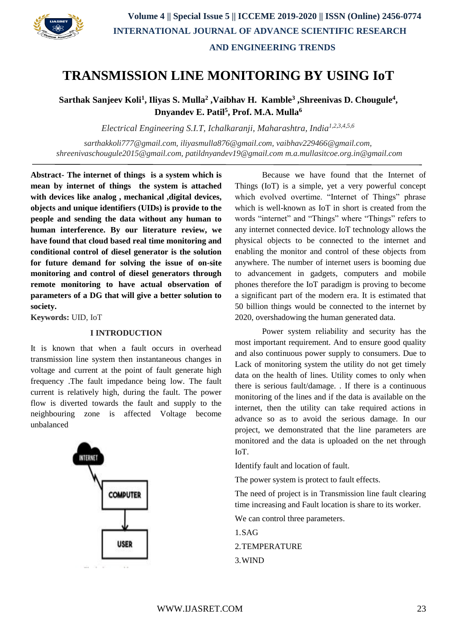

# **TRANSMISSION LINE MONITORING BY USING IoT**

**Sarthak Sanjeev Koli<sup>1</sup> , Iliyas S. Mulla<sup>2</sup> ,Vaibhav H. Kamble<sup>3</sup> ,Shreenivas D. Chougule<sup>4</sup> , Dnyandev E. Patil<sup>5</sup> , Prof. M.A. Mulla<sup>6</sup>**

*Electrical Engineering S.I.T, Ichalkaranji, Maharashtra, India1,2,3,4,5,6*

*sarthakkoli777@gmail.com, iliyasmulla876@gmail.com, vaibhav229466@gmail.com, shreenivaschougule2015@gmail.com, patildnyandev19@gmail.com [m.a.mullasitcoe.org.in@gmail.com](mailto:m.a.mullasitcoe.org.in@gmail.com)*

**Abstract- The internet of things is a system which is mean by internet of things the system is attached with devices like analog , mechanical ,digital devices, objects and unique identifiers (UIDs) is provide to the people and sending the data without any human to human interference. By our literature review, we have found that cloud based real time monitoring and conditional control of diesel generator is the solution for future demand for solving the issue of on-site monitoring and control of diesel generators through remote monitoring to have actual observation of parameters of a DG that will give a better solution to society.**

**Keywords:** UID, IoT

#### **I INTRODUCTION**

It is known that when a fault occurs in overhead transmission line system then instantaneous changes in voltage and current at the point of fault generate high frequency .The fault impedance being low. The fault current is relatively high, during the fault. The power flow is diverted towards the fault and supply to the neighbouring zone is affected Voltage become unbalanced



Because we have found that the Internet of Things (IoT) is a simple, yet a very powerful concept which evolved overtime. "Internet of Things" phrase which is well-known as IoT in short is created from the words "internet" and "Things" where "Things" refers to any internet connected device. IoT technology allows the physical objects to be connected to the internet and enabling the monitor and control of these objects from anywhere. The number of internet users is booming due to advancement in gadgets, computers and mobile phones therefore the IoT paradigm is proving to become a significant part of the modern era. It is estimated that 50 billion things would be connected to the internet by 2020, overshadowing the human generated data.

Power system reliability and security has the most important requirement. And to ensure good quality and also continuous power supply to consumers. Due to Lack of monitoring system the utility do not get timely data on the health of lines. Utility comes to only when there is serious fault/damage. . If there is a continuous monitoring of the lines and if the data is available on the internet, then the utility can take required actions in advance so as to avoid the serious damage. In our project, we demonstrated that the line parameters are monitored and the data is uploaded on the net through IoT.

Identify fault and location of fault.

The power system is protect to fault effects.

The need of project is in Transmission line fault clearing time increasing and Fault location is share to its worker.

We can control three parameters.

1.SAG 2.TEMPERATURE

3.WIND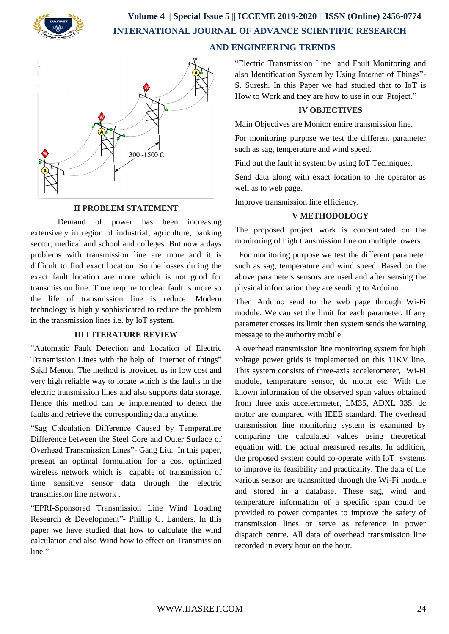

 **Volume 4 || Special Issue 5 || ICCEME 2019-2020 || ISSN (Online) 2456-0774 INTERNATIONAL JOURNAL OF ADVANCE SCIENTIFIC RESEARCH** 

### **AND ENGINEERING TRENDS**



#### **II PROBLEM STATEMENT**

Demand of power has been increasing extensively in region of industrial, agriculture, banking sector, medical and school and colleges. But now a days problems with transmission line are more and it is difficult to find exact location. So the losses during the exact fault location are more which is not good for transmission line. Time require to clear fault is more so the life of transmission line is reduce. Modern technology is highly sophisticated to reduce the problem in the transmission lines i.e. by IoT system.

#### **III LITERATURE REVIEW**

"Automatic Fault Detection and Location of Electric Transmission Lines with the help of internet of things" Sajal Menon. The method is provided us in low cost and very high reliable way to locate which is the faults in the electric transmission lines and also supports data storage. Hence this method can be implemented to detect the faults and retrieve the corresponding data anytime.

"Sag Calculation Difference Caused by Temperature Difference between the Steel Core and Outer Surface of Overhead Transmission Lines"- Gang Liu. In this paper, present an optimal formulation for a cost optimized wireless network which is capable of transmission of time sensitive sensor data through the electric transmission line network .

"EPRI-Sponsored Transmission Line Wind Loading Research & Development"- Phillip G. Landers. In this paper we have studied that how to calculate the wind calculation and also Wind how to effect on Transmission line."

"Electric Transmission Line and Fault Monitoring and also Identification System by Using Internet of Things"- S. Suresh. In this Paper we had studied that to IoT is How to Work and they are how to use in our Project."

#### **IV OBJECTIVES**

Main Objectives are Monitor entire transmission line.

For monitoring purpose we test the different parameter such as sag, temperature and wind speed.

Find out the fault in system by using IoT Techniques.

Send data along with exact location to the operator as well as to web page.

Improve transmission line efficiency.

#### **V METHODOLOGY**

The proposed project work is concentrated on the monitoring of high transmission line on multiple towers.

 For monitoring purpose we test the different parameter such as sag, temperature and wind speed. Based on the above parameters sensors are used and after sensing the physical information they are sending to Arduino .

Then Arduino send to the web page through Wi-Fi module. We can set the limit for each parameter. If any parameter crosses its limit then system sends the warning message to the authority mobile.

A overhead transmission line monitoring system for high voltage power grids is implemented on this 11KV line. This system consists of three-axis accelerometer, Wi-Fi module, temperature sensor, dc motor etc. With the known information of the observed span values obtained from three axis accelerometer, LM35, ADXL 335, dc motor are compared with IEEE standard. The overhead transmission line monitoring system is examined by comparing the calculated values using theoretical equation with the actual measured results. In addition, the proposed system could co-operate with IoT systems to improve its feasibility and practicality. The data of the various sensor are transmitted through the Wi-Fi module and stored in a database. These sag, wind and temperature information of a specific span could be provided to power companies to improve the safety of transmission lines or serve as reference in power dispatch centre. All data of overhead transmission line recorded in every hour on the hour.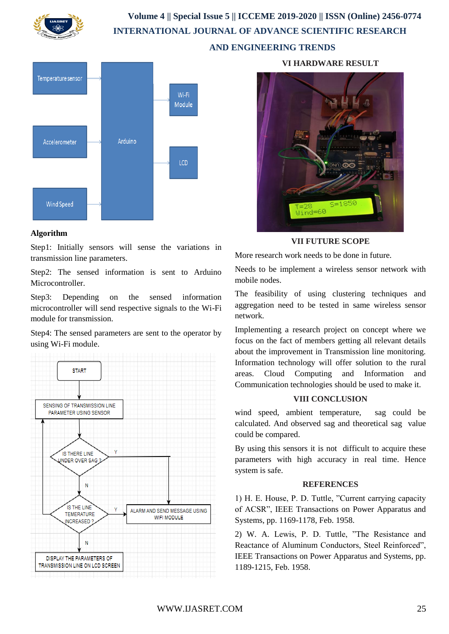

## **Volume 4 || Special Issue 5 || ICCEME 2019-2020 || ISSN (Online) 2456-0774 INTERNATIONAL JOURNAL OF ADVANCE SCIENTIFIC RESEARCH AND ENGINEERING TRENDS**



#### **Algorithm**

Step1: Initially sensors will sense the variations in transmission line parameters.

Step2: The sensed information is sent to Arduino Microcontroller.

Step3: Depending on the sensed information microcontroller will send respective signals to the Wi-Fi module for transmission.

Step4: The sensed parameters are sent to the operator by using Wi-Fi module.



**VI HARDWARE RESULT**



**VII FUTURE SCOPE**

More research work needs to be done in future.

Needs to be implement a wireless sensor network with mobile nodes.

The feasibility of using clustering techniques and aggregation need to be tested in same wireless sensor network.

Implementing a research project on concept where we focus on the fact of members getting all relevant details about the improvement in Transmission line monitoring. Information technology will offer solution to the rural areas. Cloud Computing and Information and Communication technologies should be used to make it.

#### **VIII CONCLUSION**

wind speed, ambient temperature, sag could be calculated. And observed sag and theoretical sag value could be compared.

By using this sensors it is not difficult to acquire these parameters with high accuracy in real time. Hence system is safe.

#### **REFERENCES**

1) H. E. House, P. D. Tuttle, "Current carrying capacity of ACSR", IEEE Transactions on Power Apparatus and Systems, pp. 1169-1178, Feb. 1958.

2) W. A. Lewis, P. D. Tuttle, "The Resistance and Reactance of Aluminum Conductors, Steel Reinforced", IEEE Transactions on Power Apparatus and Systems, pp. 1189-1215, Feb. 1958.